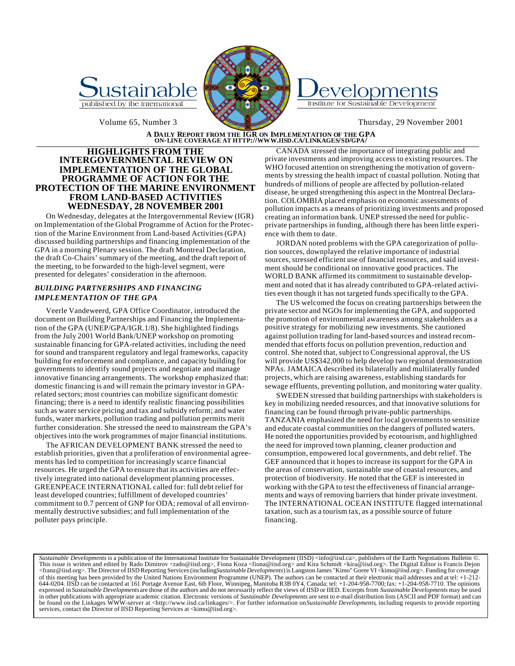



# Institute for Sustainable Development

# A DAILY REPORT FROM THE IGR ON IMPLEMENTATION OF THE GPA<br>ON-LINE COVERAGE AT HTTP://WWW.IISD.CA/LINKAGES/SD/GPA/

# **HIGHLIGHTS FROM THE INTERGOVERNMENTAL REVIEW ON IMPLEMENTATION OF THE GLOBAL PROGRAMME OF ACTION FOR THE PROTECTION OF THE MARINE ENVIRONMENT FROM LAND-BASED ACTIVITIES WEDNESDAY, 28 NOVEMBER 2001**

On Wednesday, delegates at the Intergovernmental Review (IGR) on Implementation of the Global Programme of Action for the Protection of the Marine Environment from Land-based Activities (GPA) discussed building partnerships and financing implementation of the GPA in a morning Plenary session. The draft Montreal Declaration, the draft Co-Chairs' summary of the meeting, and the draft report of the meeting, to be forwarded to the high-level segment, were presented for delegates' consideration in the afternoon.

# *BUILDING PARTNERSHIPS AND FINANCING IMPLEMENTATION OF THE GPA*

Veerle Vandeweerd, GPA Office Coordinator, introduced the document on Building Partnerships and Financing the Implementation of the GPA (UNEP/GPA/IGR.1/8). She highlighted findings from the July 2001 World Bank/UNEP workshop on promoting sustainable financing for GPA-related activities, including the need for sound and transparent regulatory and legal frameworks, capacity building for enforcement and compliance, and capacity building for governments to identify sound projects and negotiate and manage innovative financing arrangements. The workshop emphasized that: domestic financing is and will remain the primary investor in GPArelated sectors; most countries can mobilize significant domestic financing; there is a need to identify realistic financing possibilities such as water service pricing and tax and subsidy reform; and water funds, water markets, pollution trading and pollution permits merit further consideration. She stressed the need to mainstream the GPA's objectives into the work programmes of major financial institutions.

The AFRICAN DEVELOPMENT BANK stressed the need to establish priorities, given that a proliferation of environmental agreements has led to competition for increasingly scarce financial resources. He urged the GPA to ensure that its activities are effectively integrated into national development planning processes. GREENPEACE INTERNATIONAL called for: full debt relief for least developed countries; fulfillment of developed countries' commitment to 0.7 percent of GNP for ODA; removal of all environmentally destructive subsidies; and full implementation of the polluter pays principle.

CANADA stressed the importance of integrating public and private investments and improving access to existing resources. The WHO focused attention on strengthening the motivation of governments by stressing the health impact of coastal pollution. Noting that hundreds of millions of people are affected by pollution-related disease, he urged strengthening this aspect in the Montreal Declaration. COLOMBIA placed emphasis on economic assessments of pollution impacts as a means of prioritizing investments and proposed creating an information bank. UNEP stressed the need for publicprivate partnerships in funding, although there has been little experience with them to date.

JORDAN noted problems with the GPA categorization of pollution sources, downplayed the relative importance of industrial sources, stressed efficient use of financial resources, and said investment should be conditional on innovative good practices. The WORLD BANK affirmed its commitment to sustainable development and noted that it has already contributed to GPA-related activities even though it has not targeted funds specifically to the GPA.

The US welcomed the focus on creating partnerships between the private sector and NGOs for implementing the GPA, and supported the promotion of environmental awareness among stakeholders as a positive strategy for mobilizing new investments. She cautioned against pollution trading for land-based sources and instead recommended that efforts focus on pollution prevention, reduction and control. She noted that, subject to Congressional approval, the US will provide US\$342,000 to help develop two regional demonstration NPAs. JAMAICA described its bilaterally and multilaterally funded projects, which are raising awareness, establishing standards for sewage effluents, preventing pollution, and monitoring water quality.

SWEDEN stressed that building partnerships with stakeholders is key in mobilizing needed resources, and that innovative solutions for financing can be found through private-public partnerships. TANZANIA emphasized the need for local governments to sensitize and educate coastal communities on the dangers of polluted waters. He noted the opportunities provided by ecotourism, and highlighted the need for improved town planning, cleaner production and consumption, empowered local governments, and debt relief. The GEF announced that it hopes to increase its support for the GPA in the areas of conservation, sustainable use of coastal resources, and protection of biodiversity. He noted that the GEF is interested in working with the GPA to test the effectiveness of financial arrangements and ways of removing barriers that hinder private investment. The INTERNATIONAL OCEAN INSTITUTE flagged international taxation, such as a tourism tax, as a possible source of future financing.

Sustainable Developments is a publication of the International Institute for Sustainable Development (IISD) <info@iisd.ca>, publishers of the Earth Negotiations Bulletin ©.<br>This issue is written and edited by Rado Dimitro <franz@iisd.org>. The Director of IISD Reporting Services (including *Sustainable Developments*) is Langston James "Kimo" Goree VI <kimo@iisd.org>. Funding for coverage of this meeting has been provided by the United Nations Environment Programme (UNEP). The authors can be contacted at their electronic mail addresses and at tel: +1-212- 644-0204. IISD can be contacted at 161 Portage Avenue East, 6th Floor, Winnipeg, Manitoba R3B 0Y4, Canada; tel: +1-204-958-7700; fax: +1-204-958-7710. The opinions expressed in *Sustainable Developments* are those of the authors and do not necessarily reflect the views of IISD or IIED. Excerpts from *Sustainable Developments* may be used in other publications with appropriate academic citation. Electronic versions of *Sustainable Developments* are sent to e-mail distribution lists (ASCII and PDF format) and can be found on the Linkages WWW-server at <http://www.iisd.ca/linkages/>. For further information on *Sustainable Developments*, including requests to provide reporting services, contact the Director of IISD Reporting Services at <kimo@iisd.org>.